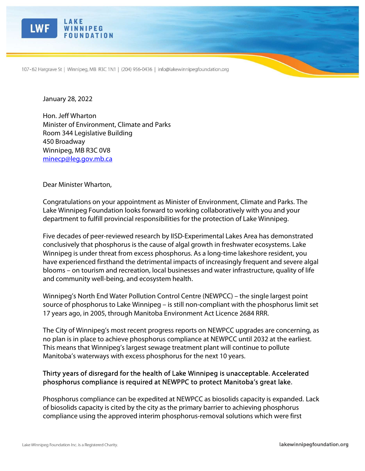

Ī

107-62 Hargrave St | Winnipeg, MB R3C 1N1 | (204) 956-0436 | info@lakewinnipegfoundation.org

January 28, 2022

Hon. Jeff Wharton Minister of Environment, Climate and Parks Room 344 Legislative Building 450 Broadway Winnipeg, MB R3C 0V8 minecp@leg.gov.mb.ca

Dear Minister Wharton,

Congratulations on your appointment as Minister of Environment, Climate and Parks. The Lake Winnipeg Foundation looks forward to working collaboratively with you and your department to fulfill provincial responsibilities for the protection of Lake Winnipeg.

Five decades of peer-reviewed research by IISD-Experimental Lakes Area has demonstrated conclusively that phosphorus is the cause of algal growth in freshwater ecosystems. Lake Winnipeg is under threat from excess phosphorus. As a long-time lakeshore resident, you have experienced firsthand the detrimental impacts of increasingly frequent and severe algal blooms – on tourism and recreation, local businesses and water infrastructure, quality of life and community well-being, and ecosystem health.

Winnipeg's North End Water Pollution Control Centre (NEWPCC) – the single largest point source of phosphorus to Lake Winnipeg – is still non-compliant with the phosphorus limit set 17 years ago, in 2005, through Manitoba Environment Act Licence 2684 RRR.

The City of Winnipeg's most recent progress reports on NEWPCC upgrades are concerning, as no plan is in place to achieve phosphorus compliance at NEWPCC until 2032 at the earliest. This means that Winnipeg's largest sewage treatment plant will continue to pollute Manitoba's waterways with excess phosphorus for the next 10 years.

## Thirty years of disregard for the health of Lake Winnipeg is unacceptable. Accelerated phosphorus compliance is required at NEWPPC to protect Manitoba's great lake.

Phosphorus compliance can be expedited at NEWPCC as biosolids capacity is expanded. Lack of biosolids capacity is cited by the city as the primary barrier to achieving phosphorus compliance using the approved interim phosphorus-removal solutions which were first